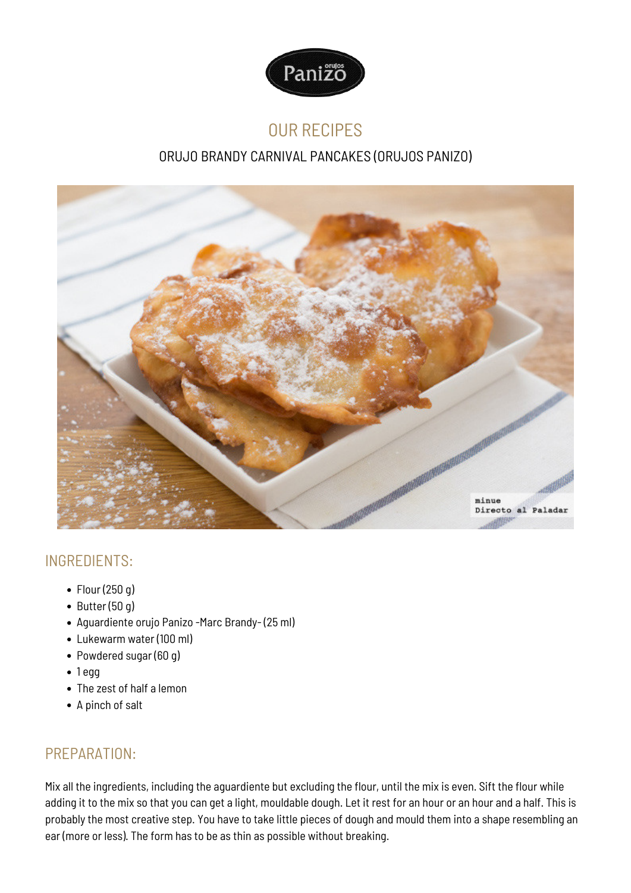

## OUR RECIPES

## ORUJO BRANDY CARNIVAL PANCAKES (ORUJOS PANIZO)



## INGREDIENTS:

- Flour (250 g)
- $\bullet$  Butter (50 g)
- Aguardiente orujo Panizo -Marc Brandy- (25 ml)
- Lukewarm water (100 ml)
- Powdered sugar (60 g)
- $1 <sub>eqq</sub>$
- The zest of half a lemon
- A pinch of salt

## PREPARATION:

Mix all the ingredients, including the aguardiente but excluding the flour, until the mix is even. Sift the flour while adding it to the mix so that you can get a light, mouldable dough. Let it rest for an hour or an hour and a half. This is probably the most creative step. You have to take little pieces of dough and mould them into a shape resembling an ear (more or less). The form has to be as thin as possible without breaking.